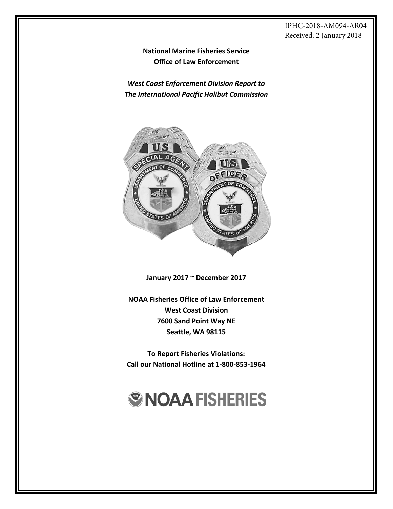#### IPHC-2018-AM094-AR04 Received: 2 January 2018

**National Marine Fisheries Service Office of Law Enforcement**

*West Coast Enforcement Division Report to The International Pacific Halibut Commission*



**January 2017 ~ December 2017**

**NOAA Fisheries Office of Law Enforcement West Coast Division 7600 Sand Point Way NE Seattle, WA 98115**

**To Report Fisheries Violations: Call our National Hotline at 1‐800‐853‐1964**

# **ØNOAAFISHERIES**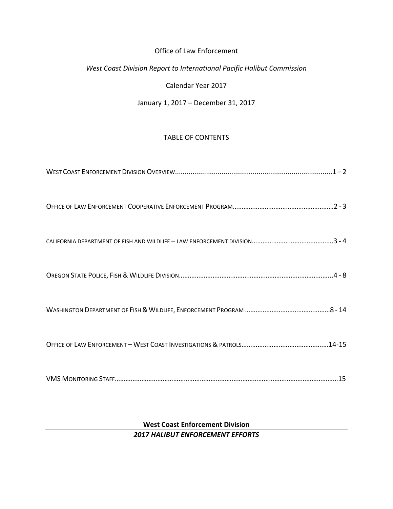# Office of Law Enforcement

# *West Coast Division Report to International Pacific Halibut Commission*

Calendar Year 2017

#### January 1, 2017 – December 31, 2017

# TABLE OF CONTENTS

# **West Coast Enforcement Division** *2017 HALIBUT ENFORCEMENT EFFORTS*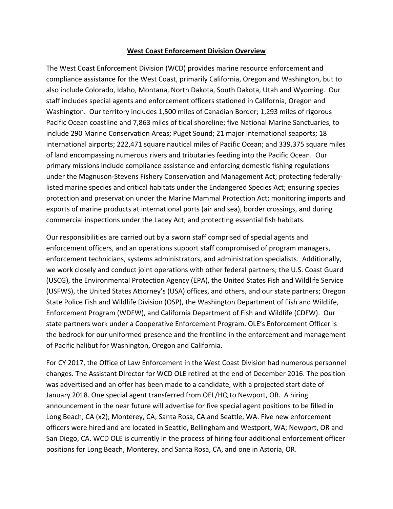#### **West Coast Enforcement Division Overview**

The West Coast Enforcement Division (WCD) provides marine resource enforcement and compliance assistance for the West Coast, primarily California, Oregon and Washington, but to also include Colorado, Idaho, Montana, North Dakota, South Dakota, Utah and Wyoming. Our staff includes special agents and enforcement officers stationed in California, Oregon and Washington. Our territory includes 1,500 miles of Canadian Border; 1,293 miles of rigorous Pacific Ocean coastline and 7,863 miles of tidal shoreline; five National Marine Sanctuaries, to include 290 Marine Conservation Areas; Puget Sound; 21 major international seaports; 18 international airports; 222,471 square nautical miles of Pacific Ocean; and 339,375 square miles of land encompassing numerous rivers and tributaries feeding into the Pacific Ocean. Our primary missions include compliance assistance and enforcing domestic fishing regulations under the Magnuson‐Stevens Fishery Conservation and Management Act; protecting federally‐ listed marine species and critical habitats under the Endangered Species Act; ensuring species protection and preservation under the Marine Mammal Protection Act; monitoring imports and exports of marine products at international ports (air and sea), border crossings, and during commercial inspections under the Lacey Act; and protecting essential fish habitats.

Our responsibilities are carried out by a sworn staff comprised of special agents and enforcement officers, and an operations support staff compromised of program managers, enforcement technicians, systems administrators, and administration specialists. Additionally, we work closely and conduct joint operations with other federal partners; the U.S. Coast Guard (USCG), the Environmental Protection Agency (EPA), the United States Fish and Wildlife Service (USFWS), the United States Attorney's (USA) offices, and others, and our state partners; Oregon State Police Fish and Wildlife Division (OSP), the Washington Department of Fish and Wildlife, Enforcement Program (WDFW), and California Department of Fish and Wildlife (CDFW). Our state partners work under a Cooperative Enforcement Program. OLE's Enforcement Officer is the bedrock for our uniformed presence and the frontline in the enforcement and management of Pacific halibut for Washington, Oregon and California.

For CY 2017, the Office of Law Enforcement in the West Coast Division had numerous personnel changes. The Assistant Director for WCD OLE retired at the end of December 2016. The position was advertised and an offer has been made to a candidate, with a projected start date of January 2018. One special agent transferred from OEL/HQ to Newport, OR. A hiring announcement in the near future will advertise for five special agent positions to be filled in Long Beach, CA (x2); Monterey, CA; Santa Rosa, CA and Seattle, WA. Five new enforcement officers were hired and are located in Seattle, Bellingham and Westport, WA; Newport, OR and San Diego, CA. WCD OLE is currently in the process of hiring four additional enforcement officer positions for Long Beach, Monterey, and Santa Rosa, CA, and one in Astoria, OR.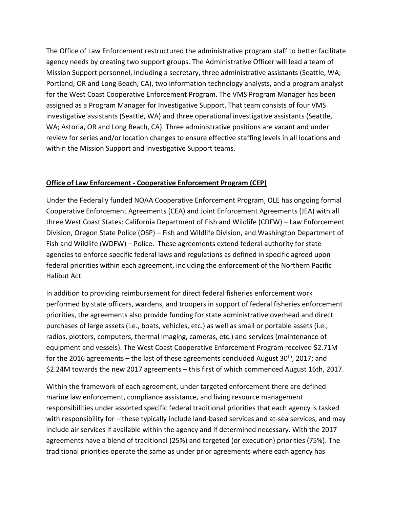The Office of Law Enforcement restructured the administrative program staff to better facilitate agency needs by creating two support groups. The Administrative Officer will lead a team of Mission Support personnel, including a secretary, three administrative assistants (Seattle, WA; Portland, OR and Long Beach, CA), two information technology analysts, and a program analyst for the West Coast Cooperative Enforcement Program. The VMS Program Manager has been assigned as a Program Manager for Investigative Support. That team consists of four VMS investigative assistants (Seattle, WA) and three operational investigative assistants (Seattle, WA; Astoria, OR and Long Beach, CA). Three administrative positions are vacant and under review for series and/or location changes to ensure effective staffing levels in all locations and within the Mission Support and Investigative Support teams.

# **Office of Law Enforcement ‐ Cooperative Enforcement Program (CEP)**

Under the Federally funded NOAA Cooperative Enforcement Program, OLE has ongoing formal Cooperative Enforcement Agreements (CEA) and Joint Enforcement Agreements (JEA) with all three West Coast States: California Department of Fish and Wildlife (CDFW) – Law Enforcement Division, Oregon State Police (OSP) – Fish and Wildlife Division, and Washington Department of Fish and Wildlife (WDFW) – Police. These agreements extend federal authority for state agencies to enforce specific federal laws and regulations as defined in specific agreed upon federal priorities within each agreement, including the enforcement of the Northern Pacific Halibut Act.

In addition to providing reimbursement for direct federal fisheries enforcement work performed by state officers, wardens, and troopers in support of federal fisheries enforcement priorities, the agreements also provide funding for state administrative overhead and direct purchases of large assets (i.e., boats, vehicles, etc.) as well as small or portable assets (i.e., radios, plotters, computers, thermal imaging, cameras, etc.) and services (maintenance of equipment and vessels). The West Coast Cooperative Enforcement Program received \$2.71M for the 2016 agreements – the last of these agreements concluded August  $30<sup>th</sup>$ , 2017; and \$2.24M towards the new 2017 agreements – this first of which commenced August 16th, 2017.

Within the framework of each agreement, under targeted enforcement there are defined marine law enforcement, compliance assistance, and living resource management responsibilities under assorted specific federal traditional priorities that each agency is tasked with responsibility for – these typically include land-based services and at-sea services, and may include air services if available within the agency and if determined necessary. With the 2017 agreements have a blend of traditional (25%) and targeted (or execution) priorities (75%). The traditional priorities operate the same as under prior agreements where each agency has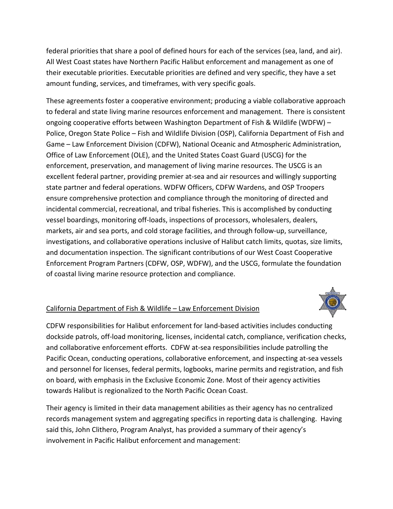federal priorities that share a pool of defined hours for each of the services (sea, land, and air). All West Coast states have Northern Pacific Halibut enforcement and management as one of their executable priorities. Executable priorities are defined and very specific, they have a set amount funding, services, and timeframes, with very specific goals.

These agreements foster a cooperative environment; producing a viable collaborative approach to federal and state living marine resources enforcement and management. There is consistent ongoing cooperative efforts between Washington Department of Fish & Wildlife (WDFW) – Police, Oregon State Police – Fish and Wildlife Division (OSP), California Department of Fish and Game – Law Enforcement Division (CDFW), National Oceanic and Atmospheric Administration, Office of Law Enforcement (OLE), and the United States Coast Guard (USCG) for the enforcement, preservation, and management of living marine resources. The USCG is an excellent federal partner, providing premier at‐sea and air resources and willingly supporting state partner and federal operations. WDFW Officers, CDFW Wardens, and OSP Troopers ensure comprehensive protection and compliance through the monitoring of directed and incidental commercial, recreational, and tribal fisheries. This is accomplished by conducting vessel boardings, monitoring off‐loads, inspections of processors, wholesalers, dealers, markets, air and sea ports, and cold storage facilities, and through follow‐up, surveillance, investigations, and collaborative operations inclusive of Halibut catch limits, quotas, size limits, and documentation inspection. The significant contributions of our West Coast Cooperative Enforcement Program Partners (CDFW, OSP, WDFW), and the USCG, formulate the foundation of coastal living marine resource protection and compliance.

# California Department of Fish & Wildlife – Law Enforcement Division



CDFW responsibilities for Halibut enforcement for land‐based activities includes conducting dockside patrols, off‐load monitoring, licenses, incidental catch, compliance, verification checks, and collaborative enforcement efforts. CDFW at-sea responsibilities include patrolling the Pacific Ocean, conducting operations, collaborative enforcement, and inspecting at‐sea vessels and personnel for licenses, federal permits, logbooks, marine permits and registration, and fish on board, with emphasis in the Exclusive Economic Zone. Most of their agency activities towards Halibut is regionalized to the North Pacific Ocean Coast.

Their agency is limited in their data management abilities as their agency has no centralized records management system and aggregating specifics in reporting data is challenging. Having said this, John Clithero, Program Analyst, has provided a summary of their agency's involvement in Pacific Halibut enforcement and management: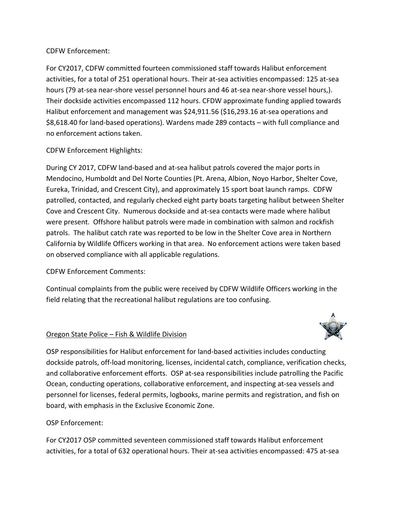# CDFW Enforcement:

For CY2017, CDFW committed fourteen commissioned staff towards Halibut enforcement activities, for a total of 251 operational hours. Their at‐sea activities encompassed: 125 at‐sea hours (79 at‐sea near‐shore vessel personnel hours and 46 at‐sea near‐shore vessel hours,). Their dockside activities encompassed 112 hours. CFDW approximate funding applied towards Halibut enforcement and management was \$24,911.56 (\$16,293.16 at-sea operations and \$8,618.40 for land‐based operations). Wardens made 289 contacts – with full compliance and no enforcement actions taken.

# CDFW Enforcement Highlights:

During CY 2017, CDFW land‐based and at‐sea halibut patrols covered the major ports in Mendocino, Humboldt and Del Norte Counties (Pt. Arena, Albion, Noyo Harbor, Shelter Cove, Eureka, Trinidad, and Crescent City), and approximately 15 sport boat launch ramps. CDFW patrolled, contacted, and regularly checked eight party boats targeting halibut between Shelter Cove and Crescent City. Numerous dockside and at‐sea contacts were made where halibut were present. Offshore halibut patrols were made in combination with salmon and rockfish patrols. The halibut catch rate was reported to be low in the Shelter Cove area in Northern California by Wildlife Officers working in that area. No enforcement actions were taken based on observed compliance with all applicable regulations.

# CDFW Enforcement Comments:

Continual complaints from the public were received by CDFW Wildlife Officers working in the field relating that the recreational halibut regulations are too confusing.

#### Oregon State Police – Fish & Wildlife Division



OSP responsibilities for Halibut enforcement for land‐based activities includes conducting dockside patrols, off‐load monitoring, licenses, incidental catch, compliance, verification checks, and collaborative enforcement efforts. OSP at-sea responsibilities include patrolling the Pacific Ocean, conducting operations, collaborative enforcement, and inspecting at‐sea vessels and personnel for licenses, federal permits, logbooks, marine permits and registration, and fish on board, with emphasis in the Exclusive Economic Zone.

# OSP Enforcement:

For CY2017 OSP committed seventeen commissioned staff towards Halibut enforcement activities, for a total of 632 operational hours. Their at‐sea activities encompassed: 475 at‐sea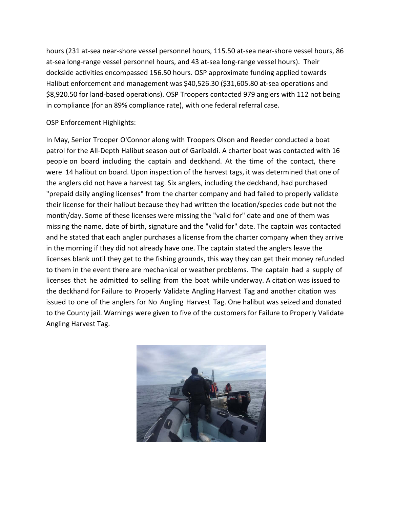hours (231 at‐sea near‐shore vessel personnel hours, 115.50 at‐sea near‐shore vessel hours, 86 at-sea long-range vessel personnel hours, and 43 at-sea long-range vessel hours). Their dockside activities encompassed 156.50 hours. OSP approximate funding applied towards Halibut enforcement and management was \$40,526.30 (\$31,605.80 at‐sea operations and \$8,920.50 for land‐based operations). OSP Troopers contacted 979 anglers with 112 not being in compliance (for an 89% compliance rate), with one federal referral case.

OSP Enforcement Highlights:

In May, Senior Trooper O'Connor along with Troopers Olson and Reeder conducted a boat patrol for the All‐Depth Halibut season out of Garibaldi. A charter boat was contacted with 16 people on board including the captain and deckhand. At the time of the contact, there were 14 halibut on board. Upon inspection of the harvest tags, it was determined that one of the anglers did not have a harvest tag. Six anglers, including the deckhand, had purchased "prepaid daily angling licenses" from the charter company and had failed to properly validate their license for their halibut because they had written the location/species code but not the month/day. Some of these licenses were missing the "valid for" date and one of them was missing the name, date of birth, signature and the "valid for" date. The captain was contacted and he stated that each angler purchases a license from the charter company when they arrive in the morning if they did not already have one. The captain stated the anglers leave the licenses blank until they get to the fishing grounds, this way they can get their money refunded to them in the event there are mechanical or weather problems. The captain had a supply of licenses that he admitted to selling from the boat while underway. A citation was issued to the deckhand for Failure to Properly Validate Angling Harvest Tag and another citation was issued to one of the anglers for No Angling Harvest Tag. One halibut was seized and donated to the County jail. Warnings were given to five of the customers for Failure to Properly Validate Angling Harvest Tag.

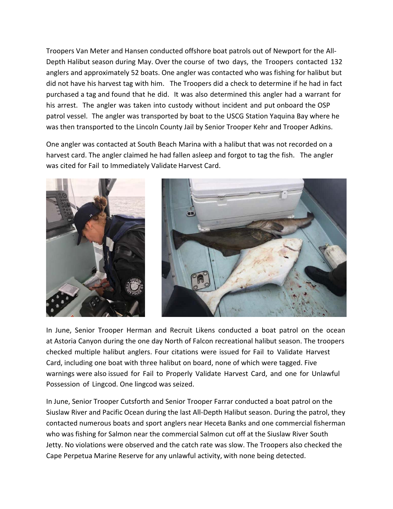Troopers Van Meter and Hansen conducted offshore boat patrols out of Newport for the All‐ Depth Halibut season during May. Over the course of two days, the Troopers contacted 132 anglers and approximately 52 boats. One angler was contacted who was fishing for halibut but did not have his harvest tag with him. The Troopers did a check to determine if he had in fact purchased a tag and found that he did. It was also determined this angler had a warrant for his arrest. The angler was taken into custody without incident and put onboard the OSP patrol vessel. The angler was transported by boat to the USCG Station Yaquina Bay where he was then transported to the Lincoln County Jail by Senior Trooper Kehr and Trooper Adkins.

One angler was contacted at South Beach Marina with a halibut that was not recorded on a harvest card. The angler claimed he had fallen asleep and forgot to tag the fish. The angler was cited for Fail to Immediately Validate Harvest Card.



In June, Senior Trooper Herman and Recruit Likens conducted a boat patrol on the ocean at Astoria Canyon during the one day North of Falcon recreational halibut season. The troopers checked multiple halibut anglers. Four citations were issued for Fail to Validate Harvest Card, including one boat with three halibut on board, none of which were tagged. Five warnings were also issued for Fail to Properly Validate Harvest Card, and one for Unlawful Possession of Lingcod. One lingcod was seized.

In June, Senior Trooper Cutsforth and Senior Trooper Farrar conducted a boat patrol on the Siuslaw River and Pacific Ocean during the last All‐Depth Halibut season. During the patrol, they contacted numerous boats and sport anglers near Heceta Banks and one commercial fisherman who was fishing for Salmon near the commercial Salmon cut off at the Siuslaw River South Jetty. No violations were observed and the catch rate was slow. The Troopers also checked the Cape Perpetua Marine Reserve for any unlawful activity, with none being detected.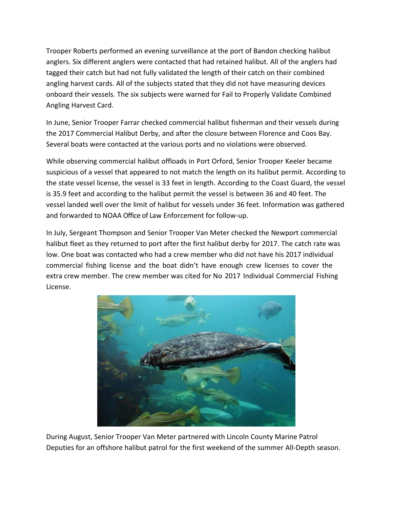Trooper Roberts performed an evening surveillance at the port of Bandon checking halibut anglers. Six different anglers were contacted that had retained halibut. All of the anglers had tagged their catch but had not fully validated the length of their catch on their combined angling harvest cards. All of the subjects stated that they did not have measuring devices onboard their vessels. The six subjects were warned for Fail to Properly Validate Combined Angling Harvest Card.

In June, Senior Trooper Farrar checked commercial halibut fisherman and their vessels during the 2017 Commercial Halibut Derby, and after the closure between Florence and Coos Bay. Several boats were contacted at the various ports and no violations were observed.

While observing commercial halibut offloads in Port Orford, Senior Trooper Keeler became suspicious of a vessel that appeared to not match the length on its halibut permit. According to the state vessel license, the vessel is 33 feet in length. According to the Coast Guard, the vessel is 35.9 feet and according to the halibut permit the vessel is between 36 and 40 feet. The vessel landed well over the limit of halibut for vessels under 36 feet. Information was gathered and forwarded to NOAA Office of Law Enforcement for follow‐up.

In July, Sergeant Thompson and Senior Trooper Van Meter checked the Newport commercial halibut fleet as they returned to port after the first halibut derby for 2017. The catch rate was low. One boat was contacted who had a crew member who did not have his 2017 individual commercial fishing license and the boat didn't have enough crew licenses to cover the extra crew member. The crew member was cited for No 2017 Individual Commercial Fishing License.



During August, Senior Trooper Van Meter partnered with Lincoln County Marine Patrol Deputies for an offshore halibut patrol for the first weekend of the summer All-Depth season.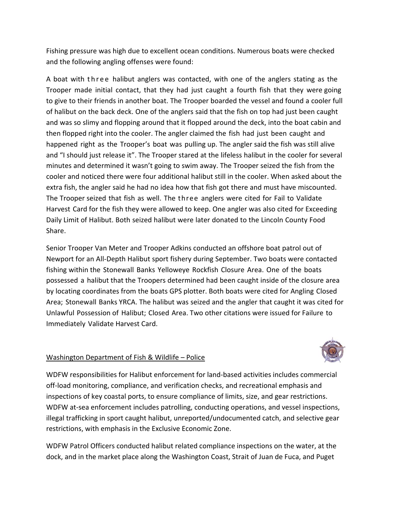Fishing pressure was high due to excellent ocean conditions. Numerous boats were checked and the following angling offenses were found:

A boat with three halibut anglers was contacted, with one of the anglers stating as the Trooper made initial contact, that they had just caught a fourth fish that they were going to give to their friends in another boat. The Trooper boarded the vessel and found a cooler full of halibut on the back deck. One of the anglers said that the fish on top had just been caught and was so slimy and flopping around that it flopped around the deck, into the boat cabin and then flopped right into the cooler. The angler claimed the fish had just been caught and happened right as the Trooper's boat was pulling up. The angler said the fish was still alive and "I should just release it". The Trooper stared at the lifeless halibut in the cooler for several minutes and determined it wasn't going to swim away. The Trooper seized the fish from the cooler and noticed there were four additional halibut still in the cooler. When asked about the extra fish, the angler said he had no idea how that fish got there and must have miscounted. The Trooper seized that fish as well. The three anglers were cited for Fail to Validate Harvest Card for the fish they were allowed to keep. One angler was also cited for Exceeding Daily Limit of Halibut. Both seized halibut were later donated to the Lincoln County Food Share.

Senior Trooper Van Meter and Trooper Adkins conducted an offshore boat patrol out of Newport for an All‐Depth Halibut sport fishery during September. Two boats were contacted fishing within the Stonewall Banks Yelloweye Rockfish Closure Area. One of the boats possessed a halibut that the Troopers determined had been caught inside of the closure area by locating coordinates from the boats GPS plotter. Both boats were cited for Angling Closed Area; Stonewall Banks YRCA. The halibut was seized and the angler that caught it was cited for Unlawful Possession of Halibut; Closed Area. Two other citations were issued for Failure to Immediately Validate Harvest Card.

# Washington Department of Fish & Wildlife – Police



WDFW responsibilities for Halibut enforcement for land‐based activities includes commercial off‐load monitoring, compliance, and verification checks, and recreational emphasis and inspections of key coastal ports, to ensure compliance of limits, size, and gear restrictions. WDFW at-sea enforcement includes patrolling, conducting operations, and vessel inspections, illegal trafficking in sport caught halibut, unreported/undocumented catch, and selective gear restrictions, with emphasis in the Exclusive Economic Zone.

WDFW Patrol Officers conducted halibut related compliance inspections on the water, at the dock, and in the market place along the Washington Coast, Strait of Juan de Fuca, and Puget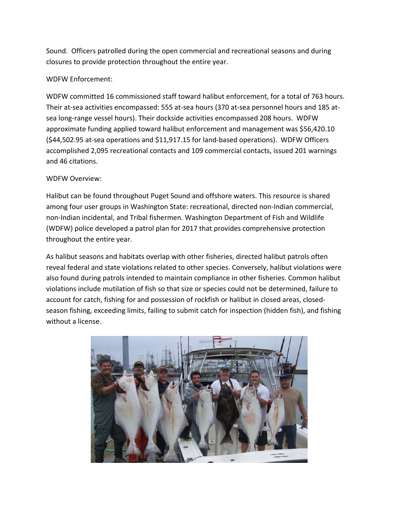Sound. Officers patrolled during the open commercial and recreational seasons and during closures to provide protection throughout the entire year.

# WDFW Enforcement:

WDFW committed 16 commissioned staff toward halibut enforcement, for a total of 763 hours. Their at‐sea activities encompassed: 555 at‐sea hours (370 at‐sea personnel hours and 185 at‐ sea long-range vessel hours). Their dockside activities encompassed 208 hours. WDFW approximate funding applied toward halibut enforcement and management was \$56,420.10 (\$44,502.95 at‐sea operations and \$11,917.15 for land‐based operations). WDFW Officers accomplished 2,095 recreational contacts and 109 commercial contacts, issued 201 warnings and 46 citations.

#### WDFW Overview:

Halibut can be found throughout Puget Sound and offshore waters. This resource is shared among four user groups in Washington State: recreational, directed non‐Indian commercial, non-Indian incidental, and Tribal fishermen. Washington Department of Fish and Wildlife (WDFW) police developed a patrol plan for 2017 that provides comprehensive protection throughout the entire year.

As halibut seasons and habitats overlap with other fisheries, directed halibut patrols often reveal federal and state violations related to other species. Conversely, halibut violations were also found during patrols intended to maintain compliance in other fisheries. Common halibut violations include mutilation of fish so that size or species could not be determined, failure to account for catch, fishing for and possession of rockfish or halibut in closed areas, closed‐ season fishing, exceeding limits, failing to submit catch for inspection (hidden fish), and fishing without a license.

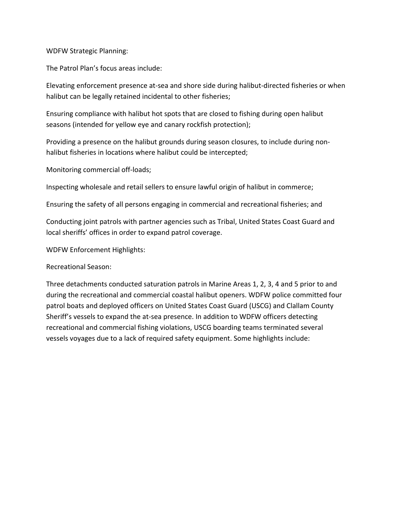#### WDFW Strategic Planning:

The Patrol Plan's focus areas include:

Elevating enforcement presence at‐sea and shore side during halibut‐directed fisheries or when halibut can be legally retained incidental to other fisheries;

Ensuring compliance with halibut hot spots that are closed to fishing during open halibut seasons (intended for yellow eye and canary rockfish protection);

Providing a presence on the halibut grounds during season closures, to include during non‐ halibut fisheries in locations where halibut could be intercepted;

Monitoring commercial off‐loads;

Inspecting wholesale and retail sellers to ensure lawful origin of halibut in commerce;

Ensuring the safety of all persons engaging in commercial and recreational fisheries; and

Conducting joint patrols with partner agencies such as Tribal, United States Coast Guard and local sheriffs' offices in order to expand patrol coverage.

WDFW Enforcement Highlights:

Recreational Season:

Three detachments conducted saturation patrols in Marine Areas 1, 2, 3, 4 and 5 prior to and during the recreational and commercial coastal halibut openers. WDFW police committed four patrol boats and deployed officers on United States Coast Guard (USCG) and Clallam County Sheriff's vessels to expand the at‐sea presence. In addition to WDFW officers detecting recreational and commercial fishing violations, USCG boarding teams terminated several vessels voyages due to a lack of required safety equipment. Some highlights include: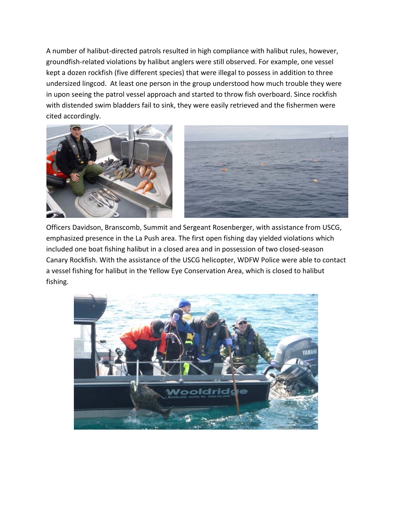A number of halibut‐directed patrols resulted in high compliance with halibut rules, however, groundfish‐related violations by halibut anglers were still observed. For example, one vessel kept a dozen rockfish (five different species) that were illegal to possess in addition to three undersized lingcod. At least one person in the group understood how much trouble they were in upon seeing the patrol vessel approach and started to throw fish overboard. Since rockfish with distended swim bladders fail to sink, they were easily retrieved and the fishermen were cited accordingly.



Officers Davidson, Branscomb, Summit and Sergeant Rosenberger, with assistance from USCG, emphasized presence in the La Push area. The first open fishing day yielded violations which included one boat fishing halibut in a closed area and in possession of two closed‐season Canary Rockfish. With the assistance of the USCG helicopter, WDFW Police were able to contact a vessel fishing for halibut in the Yellow Eye Conservation Area, which is closed to halibut fishing.

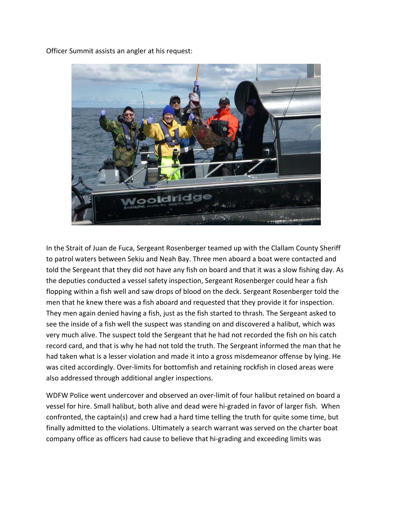Officer Summit assists an angler at his request:



In the Strait of Juan de Fuca, Sergeant Rosenberger teamed up with the Clallam County Sheriff to patrol waters between Sekiu and Neah Bay. Three men aboard a boat were contacted and told the Sergeant that they did not have any fish on board and that it was a slow fishing day. As the deputies conducted a vessel safety inspection, Sergeant Rosenberger could hear a fish flopping within a fish well and saw drops of blood on the deck. Sergeant Rosenberger told the men that he knew there was a fish aboard and requested that they provide it for inspection. They men again denied having a fish, just as the fish started to thrash. The Sergeant asked to see the inside of a fish well the suspect was standing on and discovered a halibut, which was very much alive. The suspect told the Sergeant that he had not recorded the fish on his catch record card, and that is why he had not told the truth. The Sergeant informed the man that he had taken what is a lesser violation and made it into a gross misdemeanor offense by lying. He was cited accordingly. Over-limits for bottomfish and retaining rockfish in closed areas were also addressed through additional angler inspections.

WDFW Police went undercover and observed an over-limit of four halibut retained on board a vessel for hire. Small halibut, both alive and dead were hi‐graded in favor of larger fish. When confronted, the captain(s) and crew had a hard time telling the truth for quite some time, but finally admitted to the violations. Ultimately a search warrant was served on the charter boat company office as officers had cause to believe that hi‐grading and exceeding limits was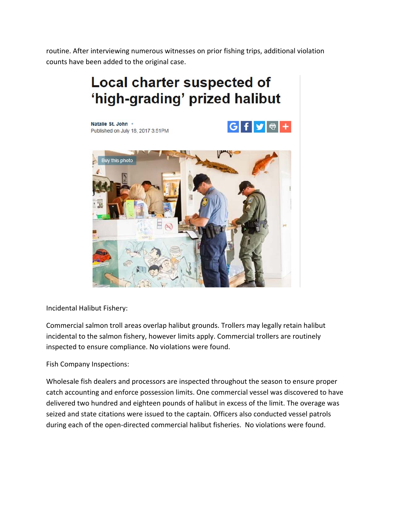routine. After interviewing numerous witnesses on prior fishing trips, additional violation counts have been added to the original case.

# **Local charter suspected of** 'high-grading' prized halibut

 $G$  f  $V$   $\oplus$  +

Natalie St. John . Published on July 18, 2017 3:51PM



Incidental Halibut Fishery:

Commercial salmon troll areas overlap halibut grounds. Trollers may legally retain halibut incidental to the salmon fishery, however limits apply. Commercial trollers are routinely inspected to ensure compliance. No violations were found.

Fish Company Inspections:

Wholesale fish dealers and processors are inspected throughout the season to ensure proper catch accounting and enforce possession limits. One commercial vessel was discovered to have delivered two hundred and eighteen pounds of halibut in excess of the limit. The overage was seized and state citations were issued to the captain. Officers also conducted vessel patrols during each of the open‐directed commercial halibut fisheries. No violations were found.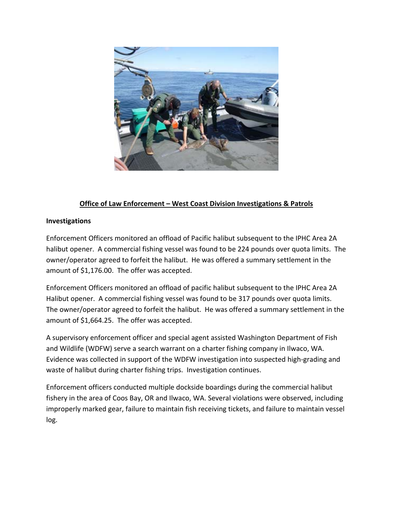

# **Office of Law Enforcement – West Coast Division Investigations & Patrols**

#### **Investigations**

Enforcement Officers monitored an offload of Pacific halibut subsequent to the IPHC Area 2A halibut opener. A commercial fishing vessel was found to be 224 pounds over quota limits. The owner/operator agreed to forfeit the halibut. He was offered a summary settlement in the amount of \$1,176.00. The offer was accepted.

Enforcement Officers monitored an offload of pacific halibut subsequent to the IPHC Area 2A Halibut opener. A commercial fishing vessel was found to be 317 pounds over quota limits. The owner/operator agreed to forfeit the halibut. He was offered a summary settlement in the amount of \$1,664.25. The offer was accepted.

A supervisory enforcement officer and special agent assisted Washington Department of Fish and Wildlife (WDFW) serve a search warrant on a charter fishing company in Ilwaco, WA. Evidence was collected in support of the WDFW investigation into suspected high‐grading and waste of halibut during charter fishing trips. Investigation continues.

Enforcement officers conducted multiple dockside boardings during the commercial halibut fishery in the area of Coos Bay, OR and Ilwaco, WA. Several violations were observed, including improperly marked gear, failure to maintain fish receiving tickets, and failure to maintain vessel log.